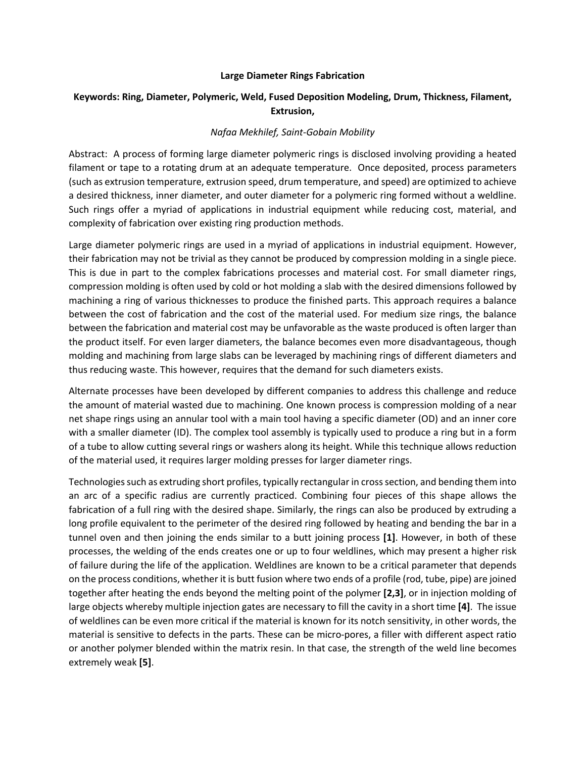## **Large Diameter Rings Fabrication**

## **Keywords: Ring, Diameter, Polymeric, Weld, Fused Deposition Modeling, Drum, Thickness, Filament, Extrusion,**

## *Nafaa Mekhilef, Saint-Gobain Mobility*

Abstract: A process of forming large diameter polymeric rings is disclosed involving providing a heated filament or tape to a rotating drum at an adequate temperature. Once deposited, process parameters (such as extrusion temperature, extrusion speed, drum temperature, and speed) are optimized to achieve a desired thickness, inner diameter, and outer diameter for a polymeric ring formed without a weldline. Such rings offer a myriad of applications in industrial equipment while reducing cost, material, and complexity of fabrication over existing ring production methods.

Large diameter polymeric rings are used in a myriad of applications in industrial equipment. However, their fabrication may not be trivial as they cannot be produced by compression molding in a single piece. This is due in part to the complex fabrications processes and material cost. For small diameter rings, compression molding is often used by cold or hot molding a slab with the desired dimensions followed by machining a ring of various thicknesses to produce the finished parts. This approach requires a balance between the cost of fabrication and the cost of the material used. For medium size rings, the balance between the fabrication and material cost may be unfavorable as the waste produced is often larger than the product itself. For even larger diameters, the balance becomes even more disadvantageous, though molding and machining from large slabs can be leveraged by machining rings of different diameters and thus reducing waste. This however, requires that the demand for such diameters exists.

Alternate processes have been developed by different companies to address this challenge and reduce the amount of material wasted due to machining. One known process is compression molding of a near net shape rings using an annular tool with a main tool having a specific diameter (OD) and an inner core with a smaller diameter (ID). The complex tool assembly is typically used to produce a ring but in a form of a tube to allow cutting several rings or washers along its height. While this technique allows reduction of the material used, it requires larger molding presses for larger diameter rings.

Technologies such as extruding short profiles, typically rectangular in cross section, and bending them into an arc of a specific radius are currently practiced. Combining four pieces of this shape allows the fabrication of a full ring with the desired shape. Similarly, the rings can also be produced by extruding a long profile equivalent to the perimeter of the desired ring followed by heating and bending the bar in a tunnel oven and then joining the ends similar to a butt joining process **[1]**. However, in both of these processes, the welding of the ends creates one or up to four weldlines, which may present a higher risk of failure during the life of the application. Weldlines are known to be a critical parameter that depends on the process conditions, whether it is butt fusion where two ends of a profile (rod, tube, pipe) are joined together after heating the ends beyond the melting point of the polymer **[2,3]**, or in injection molding of large objects whereby multiple injection gates are necessary to fill the cavity in a short time **[4]**. The issue of weldlines can be even more critical if the material is known for its notch sensitivity, in other words, the material is sensitive to defects in the parts. These can be micro-pores, a filler with different aspect ratio or another polymer blended within the matrix resin. In that case, the strength of the weld line becomes extremely weak **[5]**.